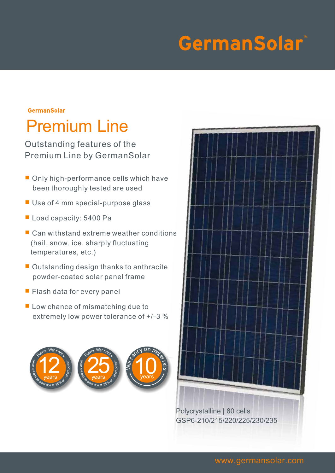# **GermanSolar**

### **GermanSolar** Premium Line

Outstanding features of the Premium Line by GermanSolar

- Only high-performance cells which have been thoroughly tested are used
- Use of 4 mm special-purpose glass
- Load capacity: 5400 Pa
- Can withstand extreme weather conditions (hail, snow, ice, sharply fluctuating temperatures, etc.)
- Outstanding design thanks to anthracite powder-coated solar panel frame
- Flash data for every panel
- Low chance of mismatching due to extremely low power tolerance of +/–3 %